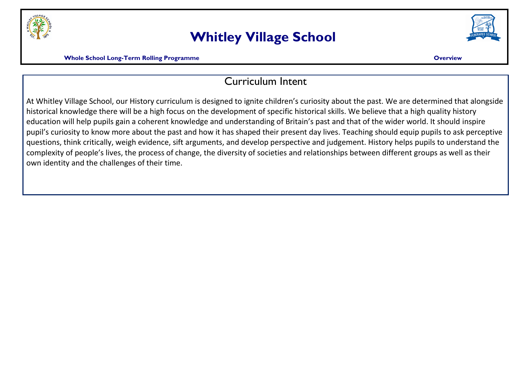

## **Whitley Village School**



**Mhole School Long-Term Rolling Programme Construction Construction Construction Construction Construction Construction Construction Construction Construction Construction Construction Construction Construction Constructio** 

## Curriculum Intent

At Whitley Village School, our History curriculum is designed to ignite children's curiosity about the past. We are determined that alongside historical knowledge there will be a high focus on the development of specific historical skills. We believe that a high quality history education will help pupils gain a coherent knowledge and understanding of Britain's past and that of the wider world. It should inspire pupil's curiosity to know more about the past and how it has shaped their present day lives. Teaching should equip pupils to ask perceptive questions, think critically, weigh evidence, sift arguments, and develop perspective and judgement. History helps pupils to understand the complexity of people's lives, the process of change, the diversity of societies and relationships between different groups as well as their own identity and the challenges of their time.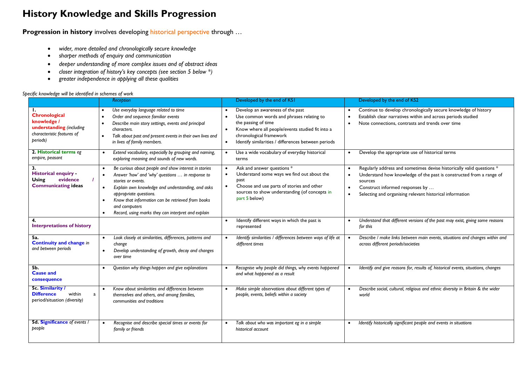## **History Knowledge and Skills Progression**

**Progression in history** involves developing historical perspective through ...

- *wider, more detailed and chronologically secure knowledge*
- *sharper methods of enquiry and communication*
- *deeper understanding of more complex issues and of abstract ideas*
- *closer integration of history's key concepts (see section 5 below \*)*
- *greater independence in applying all these qualities*

## *Specific knowledge will be identified in schemes of work*

|                                                                                                    | Reception                                                                                                                                                                                                                                                                                                                                                                        | Developed by the end of KSI                                                                                                                                                                                                                                                                  | Developed by the end of KS2                                                                                                                                                                                                                                                                                |
|----------------------------------------------------------------------------------------------------|----------------------------------------------------------------------------------------------------------------------------------------------------------------------------------------------------------------------------------------------------------------------------------------------------------------------------------------------------------------------------------|----------------------------------------------------------------------------------------------------------------------------------------------------------------------------------------------------------------------------------------------------------------------------------------------|------------------------------------------------------------------------------------------------------------------------------------------------------------------------------------------------------------------------------------------------------------------------------------------------------------|
| Chronological<br>knowledge /<br>understanding (including<br>characteristic features of<br>periods) | Use everyday language related to time<br>Order and sequence familiar events<br>Describe main story settings, events and principal<br>characters.<br>Talk about past and present events in their own lives and<br>in lives of family members.                                                                                                                                     | Develop an awareness of the past<br>$\bullet$<br>Use common words and phrases relating to<br>$\bullet$<br>the passing of time<br>Know where all people/events studied fit into a<br>$\bullet$<br>chronological framework<br>Identify similarities / differences between periods<br>$\bullet$ | Continue to develop chronologically secure knowledge of history<br>$\bullet$<br>Establish clear narratives within and across periods studied<br>$\bullet$<br>Note connections, contrasts and trends over time<br>$\bullet$                                                                                 |
| 2. Historical terms eg<br>empire, peasant                                                          | Extend vocabulary, especially by grouping and naming,<br>exploring meaning and sounds of new words.                                                                                                                                                                                                                                                                              | Use a wide vocabulary of everyday historical<br>$\bullet$<br>terms                                                                                                                                                                                                                           | Develop the appropriate use of historical terms<br>$\bullet$                                                                                                                                                                                                                                               |
| 3.<br><b>Historical enquiry -</b><br>evidence<br><b>Using</b><br><b>Communicating ideas</b>        | Be curious about people and show interest in stories<br>Answer 'how' and 'why' questions  in response to<br>stories or events.<br>Explain own knowledge and understanding, and asks<br>$\bullet$<br>appropriate questions.<br>Know that information can be retrieved from books<br>$\bullet$<br>and computers<br>Record, using marks they can interpret and explain<br>$\bullet$ | Ask and answer questions *<br>$\bullet$<br>Understand some ways we find out about the<br>$\bullet$<br>past<br>Choose and use parts of stories and other<br>$\bullet$<br>sources to show understanding (of concepts in<br>part 5 below)                                                       | Regularly address and sometimes devise historically valid questions *<br>$\bullet$<br>Understand how knowledge of the past is constructed from a range of<br>$\bullet$<br>sources<br>Construct informed responses by<br>$\bullet$<br>Selecting and organising relevant historical information<br>$\bullet$ |
| <b>Interpretations of history</b>                                                                  |                                                                                                                                                                                                                                                                                                                                                                                  | Identify different ways in which the past is<br>$\bullet$<br>represented                                                                                                                                                                                                                     | Understand that different versions of the past may exist, giving some reasons<br>for this                                                                                                                                                                                                                  |
| 5a.<br><b>Continuity and change in</b><br>and between periods                                      | Look closely at similarities, differences, patterns and<br>change<br>Develop understanding of growth, decay and changes<br>over time                                                                                                                                                                                                                                             | Identify similarities / differences between ways of life at<br>different times                                                                                                                                                                                                               | Describe / make links between main events, situations and changes within and<br>across different periods/societies                                                                                                                                                                                         |
| <b>5b.</b><br><b>Cause and</b><br>consequence                                                      | Question why things happen and give explanations                                                                                                                                                                                                                                                                                                                                 | Recognise why people did things, why events happened<br>and what happened as a result                                                                                                                                                                                                        | Identify and give reasons for, results of, historical events, situations, changes                                                                                                                                                                                                                          |
| 5c. Similarity /<br>within<br><b>Difference</b><br>a<br>period/situation (diversity)               | Know about similarities and differences between<br>themselves and others, and among families,<br>communities and traditions                                                                                                                                                                                                                                                      | Make simple observations about different types of<br>people, events, beliefs within a society                                                                                                                                                                                                | Describe social, cultural, religious and ethnic diversity in Britain & the wider<br>world                                                                                                                                                                                                                  |
| <b>5d. Significance</b> of events /<br>people                                                      | Recognise and describe special times or events for<br>family or friends                                                                                                                                                                                                                                                                                                          | Talk about who was important eg in a simple<br>historical account                                                                                                                                                                                                                            | Identify historically significant people and events in situations                                                                                                                                                                                                                                          |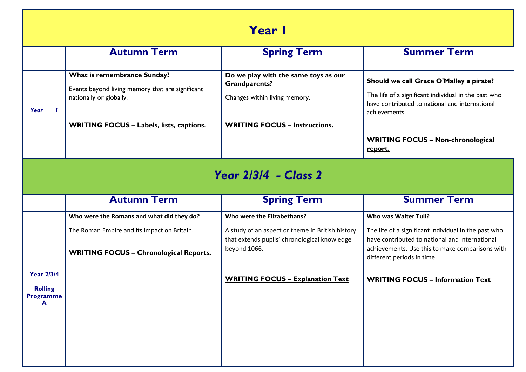| Year I                                                       |                                                                                                                                                               |                                                                                                                                                |                                                                                                                                                                                                                           |  |  |  |  |
|--------------------------------------------------------------|---------------------------------------------------------------------------------------------------------------------------------------------------------------|------------------------------------------------------------------------------------------------------------------------------------------------|---------------------------------------------------------------------------------------------------------------------------------------------------------------------------------------------------------------------------|--|--|--|--|
|                                                              | <b>Autumn Term</b>                                                                                                                                            | <b>Spring Term</b>                                                                                                                             | <b>Summer Term</b>                                                                                                                                                                                                        |  |  |  |  |
| Year                                                         | What is remembrance Sunday?<br>Events beyond living memory that are significant<br>nationally or globally.<br><b>WRITING FOCUS - Labels, lists, captions.</b> | Do we play with the same toys as our<br><b>Grandparents?</b><br>Changes within living memory.<br><b>WRITING FOCUS - Instructions.</b>          | Should we call Grace O'Malley a pirate?<br>The life of a significant individual in the past who<br>have contributed to national and international<br>achievements.<br><b>WRITING FOCUS - Non-chronological</b><br>report. |  |  |  |  |
| <b>Year 2/3/4 - Class 2</b>                                  |                                                                                                                                                               |                                                                                                                                                |                                                                                                                                                                                                                           |  |  |  |  |
|                                                              | <b>Autumn Term</b>                                                                                                                                            | <b>Spring Term</b>                                                                                                                             | <b>Summer Term</b>                                                                                                                                                                                                        |  |  |  |  |
|                                                              | Who were the Romans and what did they do?<br>The Roman Empire and its impact on Britain.<br><b>WRITING FOCUS - Chronological Reports.</b>                     | Who were the Elizabethans?<br>A study of an aspect or theme in British history<br>that extends pupils' chronological knowledge<br>beyond 1066. | Who was Walter Tull?<br>The life of a significant individual in the past who<br>have contributed to national and international<br>achievements. Use this to make comparisons with<br>different periods in time.           |  |  |  |  |
| <b>Year 2/3/4</b><br><b>Rolling</b><br><b>Programme</b><br>A |                                                                                                                                                               | <b>WRITING FOCUS - Explanation Text</b>                                                                                                        | <b>WRITING FOCUS - Information Text</b>                                                                                                                                                                                   |  |  |  |  |
|                                                              |                                                                                                                                                               |                                                                                                                                                |                                                                                                                                                                                                                           |  |  |  |  |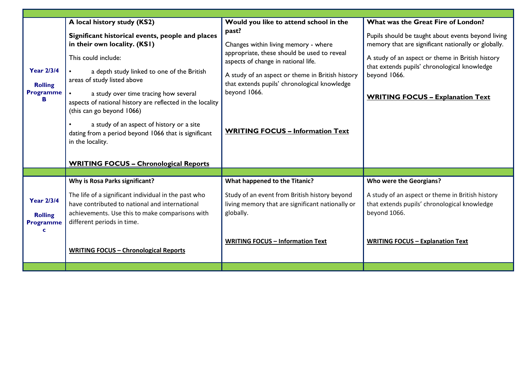|                                                              | A local history study (KS2)                                                                                                                                                                                                                                                                                                                                                                                                                                                                      | Would you like to attend school in the                                                                                                                                                                                                                                                             | What was the Great Fire of London?                                                                                                                                                                                                                                       |
|--------------------------------------------------------------|--------------------------------------------------------------------------------------------------------------------------------------------------------------------------------------------------------------------------------------------------------------------------------------------------------------------------------------------------------------------------------------------------------------------------------------------------------------------------------------------------|----------------------------------------------------------------------------------------------------------------------------------------------------------------------------------------------------------------------------------------------------------------------------------------------------|--------------------------------------------------------------------------------------------------------------------------------------------------------------------------------------------------------------------------------------------------------------------------|
| <b>Year 2/3/4</b><br><b>Rolling</b><br><b>Programme</b><br>в | Significant historical events, people and places<br>in their own locality. (KSI)<br>This could include:<br>a depth study linked to one of the British<br>areas of study listed above<br>a study over time tracing how several<br>aspects of national history are reflected in the locality<br>(this can go beyond 1066)<br>a study of an aspect of history or a site<br>dating from a period beyond 1066 that is significant<br>in the locality.<br><b>WRITING FOCUS - Chronological Reports</b> | past?<br>Changes within living memory - where<br>appropriate, these should be used to reveal<br>aspects of change in national life.<br>A study of an aspect or theme in British history<br>that extends pupils' chronological knowledge<br>beyond 1066.<br><b>WRITING FOCUS - Information Text</b> | Pupils should be taught about events beyond living<br>memory that are significant nationally or globally.<br>A study of an aspect or theme in British history<br>that extends pupils' chronological knowledge<br>beyond 1066.<br><b>WRITING FOCUS - Explanation Text</b> |
|                                                              |                                                                                                                                                                                                                                                                                                                                                                                                                                                                                                  |                                                                                                                                                                                                                                                                                                    |                                                                                                                                                                                                                                                                          |
|                                                              |                                                                                                                                                                                                                                                                                                                                                                                                                                                                                                  |                                                                                                                                                                                                                                                                                                    |                                                                                                                                                                                                                                                                          |
| <b>Year 2/3/4</b><br><b>Rolling</b><br><b>Programme</b><br>C | Why is Rosa Parks significant?<br>The life of a significant individual in the past who<br>have contributed to national and international<br>achievements. Use this to make comparisons with<br>different periods in time.<br><b>WRITING FOCUS - Chronological Reports</b>                                                                                                                                                                                                                        | What happened to the Titanic?<br>Study of an event from British history beyond<br>living memory that are significant nationally or<br>globally.<br><b>WRITING FOCUS - Information Text</b>                                                                                                         | Who were the Georgians?<br>A study of an aspect or theme in British history<br>that extends pupils' chronological knowledge<br>beyond 1066.<br><b>WRITING FOCUS - Explanation Text</b>                                                                                   |